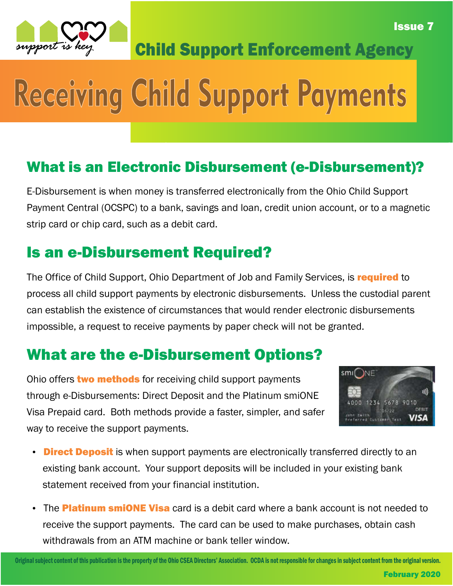

Child Support Enforcement Agency

# Receiving Child Support Payments

### What is an Electronic Disbursement (e-Disbursement)?

E-Disbursement is when money is transferred electronically from the Ohio Child Support Payment Central (OCSPC) to a bank, savings and loan, credit union account, or to a magnetic strip card or chip card, such as a debit card.

#### Is an e-Disbursement Required?

The Office of Child Support, Ohio Department of Job and Family Services, is required to process all child support payments by electronic disbursements. Unless the custodial parent can establish the existence of circumstances that would render electronic disbursements impossible, a request to receive payments by paper check will not be granted.

### What are the e-Disbursement Options?

Ohio offers two methods for receiving child support payments through e-Disbursements: Direct Deposit and the Platinum smiONE Visa Prepaid card. Both methods provide a faster, simpler, and safer way to receive the support payments.



Issue 7

- Direct Deposit is when support payments are electronically transferred directly to an existing bank account. Your support deposits will be included in your existing bank statement received from your financial institution.
- The Platinum smiONE Visa card is a debit card where a bank account is not needed to receive the support payments. The card can be used to make purchases, obtain cash withdrawals from an ATM machine or bank teller window.

Original subject content of this publication is the property of the Ohio CSEA Directors' Association. OCDA is not responsible for changes in subject content from the original version.

February 2020